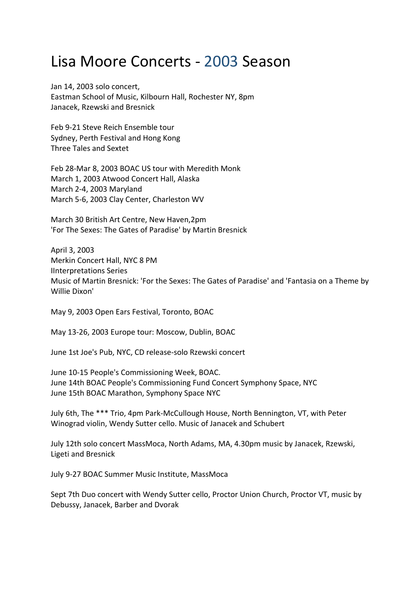## Lisa Moore Concerts ‐ 2003 Season

Jan 14, 2003 solo concert, Eastman School of Music, Kilbourn Hall, Rochester NY, 8pm Janacek, Rzewski and Bresnick

Feb 9‐21 Steve Reich Ensemble tour Sydney, Perth Festival and Hong Kong Three Tales and Sextet

Feb 28‐Mar 8, 2003 BOAC US tour with Meredith Monk March 1, 2003 Atwood Concert Hall, Alaska March 2‐4, 2003 Maryland March 5‐6, 2003 Clay Center, Charleston WV

March 30 British Art Centre, New Haven,2pm 'For The Sexes: The Gates of Paradise' by Martin Bresnick

April 3, 2003 Merkin Concert Hall, NYC 8 PM IInterpretations Series Music of Martin Bresnick: 'For the Sexes: The Gates of Paradise' and 'Fantasia on a Theme by Willie Dixon'

May 9, 2003 Open Ears Festival, Toronto, BOAC

May 13‐26, 2003 Europe tour: Moscow, Dublin, BOAC

June 1st Joe's Pub, NYC, CD release‐solo Rzewski concert

June 10‐15 People's Commissioning Week, BOAC. June 14th BOAC People's Commissioning Fund Concert Symphony Space, NYC June 15th BOAC Marathon, Symphony Space NYC

July 6th, The \*\*\* Trio, 4pm Park‐McCullough House, North Bennington, VT, with Peter Winograd violin, Wendy Sutter cello. Music of Janacek and Schubert

July 12th solo concert MassMoca, North Adams, MA, 4.30pm music by Janacek, Rzewski, Ligeti and Bresnick

July 9‐27 BOAC Summer Music Institute, MassMoca

Sept 7th Duo concert with Wendy Sutter cello, Proctor Union Church, Proctor VT, music by Debussy, Janacek, Barber and Dvorak